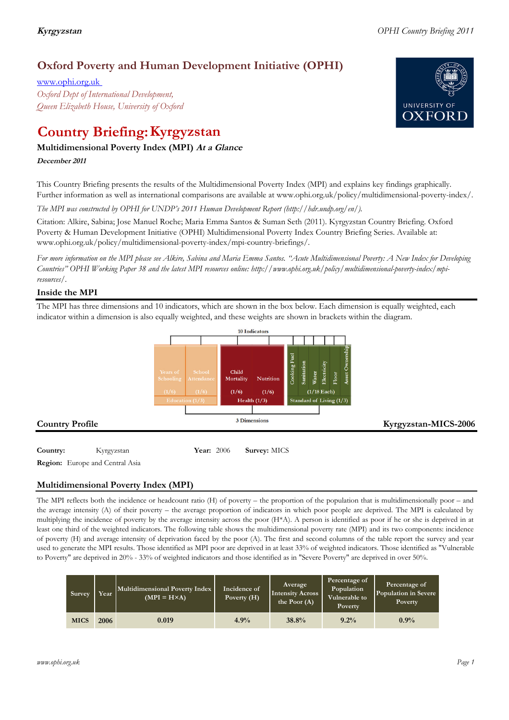## **Oxford Poverty and Human Development Initiative (OPHI)**

www.ophi.org.uk *Oxford Dept of International Development, Queen Elizabeth House, University of Oxford*

# **Country Briefing: Kyrgyzstan**

### **Multidimensional Poverty Index (MPI) At <sup>a</sup> Glance**

**December <sup>2011</sup>**

This Country Briefing presents the results of the Multidimensional Poverty Index (MPI) and explains key findings graphically. Further information as well as international comparisons are available at www.ophi.org.uk/policy/multidimensional-poverty-index/.

*The MPI was constructed by OPHI for UNDP's 2011 Human Development Report (http://hdr.undp.org/en/).*

Citation: Alkire, Sabina; Jose Manuel Roche; Maria Emma Santos & Suman Seth (2011). Kyrgyzstan Country Briefing. Oxford Poverty & Human Development Initiative (OPHI) Multidimensional Poverty Index Country Briefing Series. Available at: www.ophi.org.uk/policy/multidimensional-poverty-index/mpi-country-briefings/.

*For more information on the MPI please see Alkire, Sabina and Maria Emma Santos. "Acute Multidimensional Poverty: A New Index for Developing Countries" OPHI Working Paper 38 and the latest MPI resources online: http://www.ophi.org.uk/policy/multidimensional-poverty-index/mpiresources/.*

### **Inside the MPI**

The MPI has three dimensions and 10 indicators, which are shown in the box below. Each dimension is equally weighted, each indicator within a dimension is also equally weighted, and these weights are shown in brackets within the diagram.



**Country:** 3 Kyrgyzstan 39 **Year:** 2006 **Survey:** MICS

**Region:** Europe and Central Asia

### **Multidimensional Poverty Index (MPI)**

The MPI reflects both the incidence or headcount ratio (H) of poverty – the proportion of the population that is multidimensionally poor – and the average intensity (A) of their poverty – the average proportion of indicators in which poor people are deprived. The MPI is calculated by multiplying the incidence of poverty by the average intensity across the poor (H\*A). A person is identified as poor if he or she is deprived in at least one third of the weighted indicators. The following table shows the multidimensional poverty rate (MPI) and its two components: incidence of poverty (H) and average intensity of deprivation faced by the poor (A). The first and second columns of the table report the survey and year used to generate the MPI results. Those identified as MPI poor are deprived in at least 33% of weighted indicators. Those identified as "Vulnerable to Poverty" are deprived in 20% - 33% of weighted indicators and those identified as in "Severe Poverty" are deprived in over 50%.

| Survey      | Year | Multidimensional Poverty Index<br>$(MPI = H \times A)$ | Incidence of<br>Poverty (H) | Average<br><b>Intensity Across</b><br>the Poor $(A)$ | Percentage of<br>Population<br>Vulnerable to<br>Poverty | Percentage of<br>Population in Severe<br>Poverty |
|-------------|------|--------------------------------------------------------|-----------------------------|------------------------------------------------------|---------------------------------------------------------|--------------------------------------------------|
| <b>MICS</b> | 2006 | 0.019                                                  | 4.9%                        | 38.8%                                                | $9.2\%$                                                 | 0.9%                                             |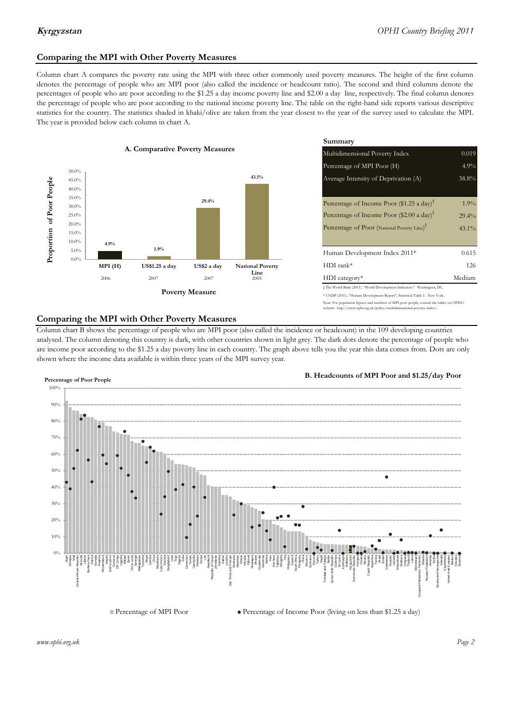### **Comparing the MPI with Other Poverty Measures**

Column chart A compares the poverty rate using the MPI with three other commonly used poverty measures. The height of the first column denotes the percentage of people who are MPI poor (also called the incidence or headcount ratio). The second and third columns denote the percentages of people who are poor according to the \$1.25 a day income poverty line and \$2.00 a day line, respectively. The final column denotes the percentage of people who are poor according to the national income poverty line. The table on the right-hand side reports various descriptive statistics for the country. The statistics shaded in khaki/olive are taken from the year closest to the year of the survey used to calculate the MPI. The year is provided below each column in chart A.



|                |                         | Summary                                                                      |          |  |  |
|----------------|-------------------------|------------------------------------------------------------------------------|----------|--|--|
| erty Measures  |                         | Multidimensional Poverty Index<br>0.019                                      |          |  |  |
|                |                         | Percentage of MPI Poor (H)                                                   | 4.9%     |  |  |
|                | 43.1%                   | Average Intensity of Deprivation (A)                                         |          |  |  |
|                |                         |                                                                              |          |  |  |
| 29.4%          |                         | Percentage of Income Poor (\$1.25 a day) <sup><math>\ddagger</math></sup>    | $1.9\%$  |  |  |
|                |                         | Percentage of Income Poor (\$2.00 a day) <sup>‡</sup>                        | 29.4%    |  |  |
|                |                         | Percentage of Poor (National Poverty Line) <sup>‡</sup>                      | $43.1\%$ |  |  |
|                |                         |                                                                              |          |  |  |
|                |                         | Human Development Index 2011*                                                | 0.615    |  |  |
| US\$2 a day    | <b>National Poverty</b> | $HDI$ rank*                                                                  | 126      |  |  |
| 2007           | Line<br>2005            | $HDI category*$                                                              | Medium   |  |  |
| <b>Aeasure</b> |                         | $\pm$ The World Bank (2011). "World Development Indicators." Washington, DC. |          |  |  |
|                |                         | * UNDP (2011). "Human Development Report", Statistical Table 1 . New York.   |          |  |  |

te: For population figures and numbers of MPI poor people, consult the tables on OPHI's te: http://www.ophi.org.uk/policy/multidimensional-poverty-index/

### **Comparing the MPI with Other Poverty Measures**

Column chart B shows the percentage of people who are MPI poor (also called the incidence or headcount) in the 109 developing countries analysed. The column denoting this country is dark, with other countries shown in light grey. The dark dots denote the percentage of people who are income poor according to the \$1.25 a day poverty line in each country. The graph above tells you the year this data comes from. Dots are only shown where the income data available is within three years of the MPI survey year.



**B. Headcounts of MPI Poor and \$1.25/day Poor**

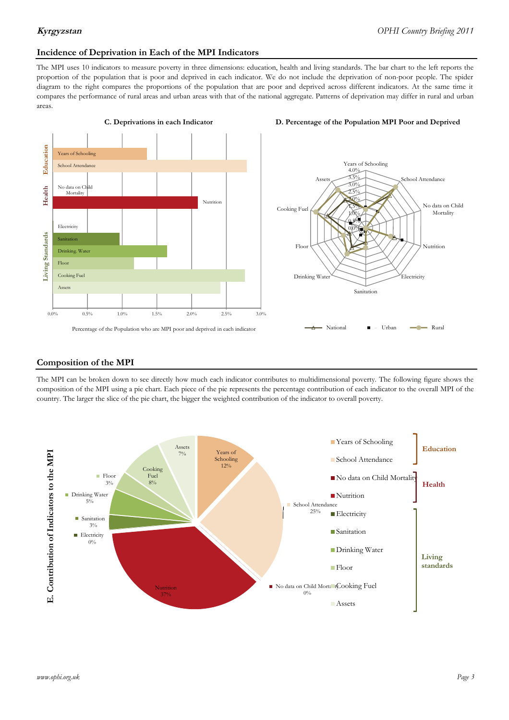### **Incidence of Deprivation in Each of the MPI Indicators**

The MPI uses 10 indicators to measure poverty in three dimensions: education, health and living standards. The bar chart to the left reports the proportion of the population that is poor and deprived in each indicator. We do not include the deprivation of non-poor people. The spider diagram to the right compares the proportions of the population that are poor and deprived across different indicators. At the same time it compares the performance of rural areas and urban areas with that of the national aggregate. Patterns of deprivation may differ in rural and urban areas.



### **C. Deprivations in each Indicator D. Percentage of the Population MPI Poor and Deprived**



### **Composition of the MPI**

The MPI can be broken down to see directly how much each indicator contributes to multidimensional poverty. The following figure shows the composition of the MPI using a pie chart. Each piece of the pie represents the percentage contribution of each indicator to the overall MPI of the country. The larger the slice of the pie chart, the bigger the weighted contribution of the indicator to overall poverty.